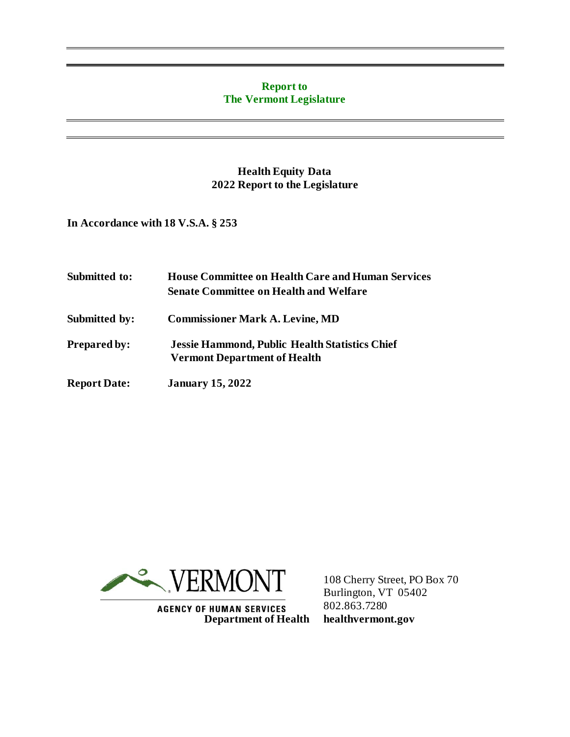#### **Report to The Vermont Legislature**

### **Health Equity Data 2022 Report to the Legislature**

**In Accordance with 18 V.S.A. § 253**

| Submitted to:       | <b>House Committee on Health Care and Human Services</b><br><b>Senate Committee on Health and Welfare</b> |
|---------------------|-----------------------------------------------------------------------------------------------------------|
| Submitted by:       | <b>Commissioner Mark A. Levine, MD</b>                                                                    |
| <b>Prepared by:</b> | <b>Jessie Hammond, Public Health Statistics Chief</b><br><b>Vermont Department of Health</b>              |
| <b>Report Date:</b> | <b>January 15, 2022</b>                                                                                   |



**AGENCY OF HUMAN SERVICES Department of Health** 

108 Cherry Street, PO Box 70 Burlington, VT 05402 802.863.7280 **healthvermont.gov**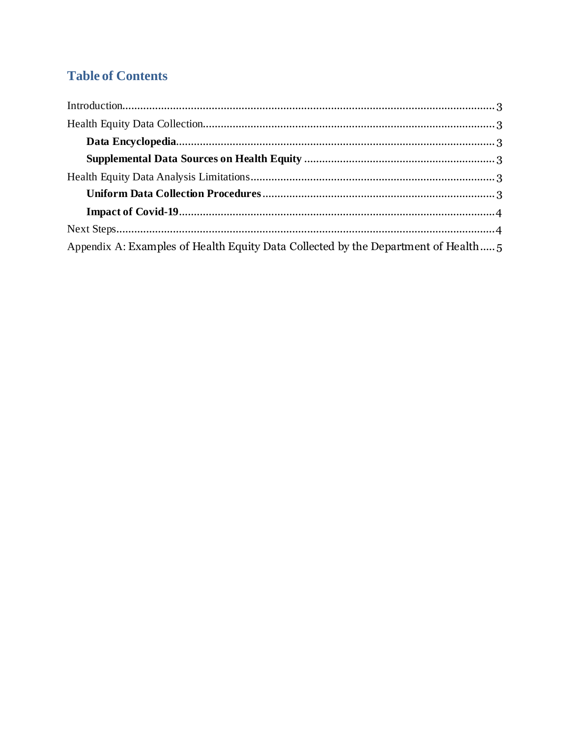# **Table of Contents**

| Appendix A: Examples of Health Equity Data Collected by the Department of Health |  |
|----------------------------------------------------------------------------------|--|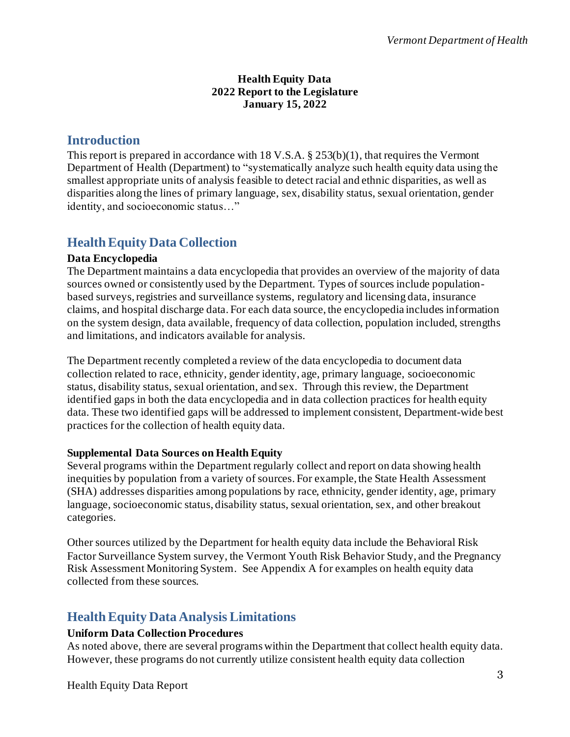#### **Health Equity Data 2022 Report to the Legislature January 15, 2022**

### <span id="page-2-0"></span>**Introduction**

This report is prepared in accordance with 18 V.S.A. § 253(b)(1), that requires the Vermont Department of Health (Department) to "systematically analyze such health equity data using the smallest appropriate units of analysis feasible to detect racial and ethnic disparities, as well as disparities along the lines of primary language, sex, disability status, sexual orientation, gender identity, and socioeconomic status…"

# <span id="page-2-1"></span>**Health Equity Data Collection**

### <span id="page-2-2"></span>**Data Encyclopedia**

The Department maintains a data encyclopedia that provides an overview of the majority of data sources owned or consistently used by the Department. Types of sources include populationbased surveys, registries and surveillance systems, regulatory and licensing data, insurance claims, and hospital discharge data. For each data source, the encyclopedia includes information on the system design, data available, frequency of data collection, population included, strengths and limitations, and indicators available for analysis.

The Department recently completed a review of the data encyclopedia to document data collection related to race, ethnicity, gender identity, age, primary language, socioeconomic status, disability status, sexual orientation, and sex. Through this review, the Department identified gaps in both the data encyclopedia and in data collection practices for health equity data. These two identified gaps will be addressed to implement consistent, Department-wide best practices for the collection of health equity data.

### <span id="page-2-3"></span>**Supplemental Data Sources on Health Equity**

Several programs within the Department regularly collect and report on data showing health inequities by population from a variety of sources. For example, the State Health Assessment (SHA) addresses disparities among populations by race, ethnicity, gender identity, age, primary language, socioeconomic status, disability status, sexual orientation, sex, and other breakout categories.

Other sources utilized by the Department for health equity data include the Behavioral Risk Factor Surveillance System survey, the Vermont Youth Risk Behavior Study, and the Pregnancy Risk Assessment Monitoring System. See Appendix A for examples on health equity data collected from these sources.

### <span id="page-2-4"></span>**Health Equity Data Analysis Limitations**

### <span id="page-2-5"></span>**Uniform Data Collection Procedures**

As noted above, there are several programs within the Department that collect health equity data. However, these programs do not currently utilize consistent health equity data collection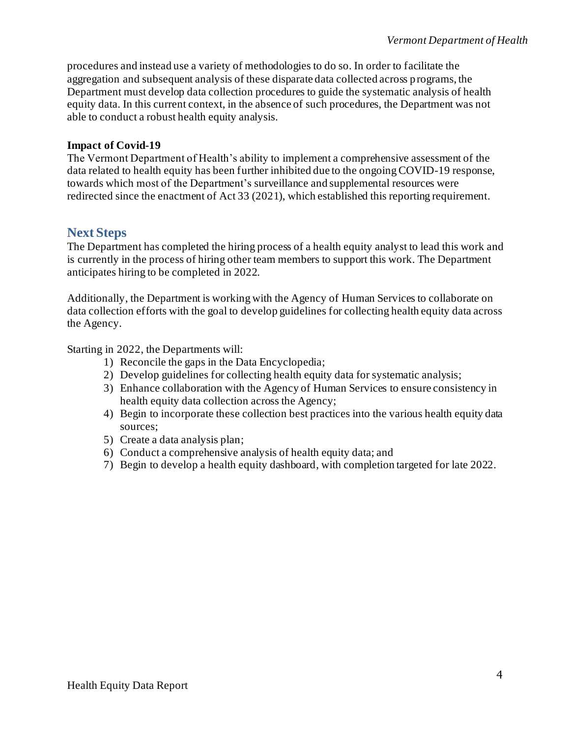procedures and instead use a variety of methodologies to do so. In order to facilitate the aggregation and subsequent analysis of these disparate data collected across programs, the Department must develop data collection procedures to guide the systematic analysis of health equity data. In this current context, in the absence of such procedures, the Department was not able to conduct a robust health equity analysis.

#### <span id="page-3-0"></span>**Impact of Covid-19**

The Vermont Department of Health's ability to implement a comprehensive assessment of the data related to health equity has been further inhibited due to the ongoing COVID-19 response, towards which most of the Department's surveillance and supplemental resources were redirected since the enactment of Act 33 (2021), which established this reporting requirement.

### <span id="page-3-1"></span>**Next Steps**

The Department has completed the hiring process of a health equity analyst to lead this work and is currently in the process of hiring other team members to support this work. The Department anticipates hiring to be completed in 2022.

Additionally, the Department is working with the Agency of Human Services to collaborate on data collection efforts with the goal to develop guidelines for collecting health equity data across the Agency.

Starting in 2022, the Departments will:

- 1) Reconcile the gaps in the Data Encyclopedia;
- 2) Develop guidelines for collecting health equity data for systematic analysis;
- 3) Enhance collaboration with the Agency of Human Services to ensure consistency in health equity data collection across the Agency;
- 4) Begin to incorporate these collection best practices into the various health equity data sources;
- 5) Create a data analysis plan;
- 6) Conduct a comprehensive analysis of health equity data; and
- 7) Begin to develop a health equity dashboard, with completion targeted for late 2022.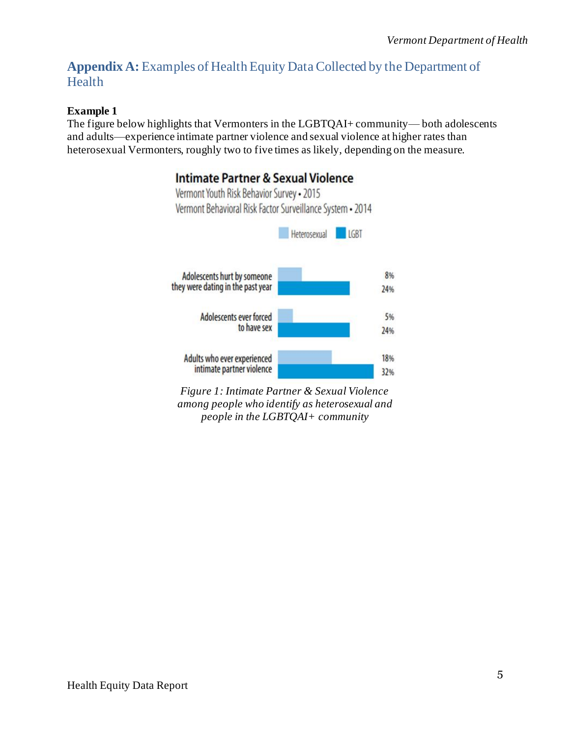# <span id="page-4-0"></span>**Appendix A:** Examples of Health Equity Data Collected by the Department of Health

### **Example 1**

The figure below highlights that Vermonters in the LGBTQAI+ community— both adolescents and adults—experience intimate partner violence and sexual violence at higher rates than heterosexual Vermonters, roughly two to five times as likely, depending on the measure.

# **Intimate Partner & Sexual Violence**



*Figure 1: Intimate Partner & Sexual Violence among people who identify as heterosexual and people in the LGBTQAI+ community*